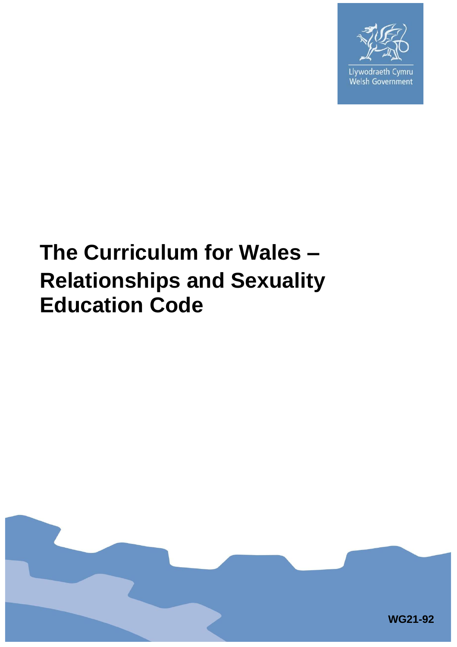

Llywodraeth Cymru Welsh Government

# **The Curriculum for Wales – Relationships and Sexuality Education Code**

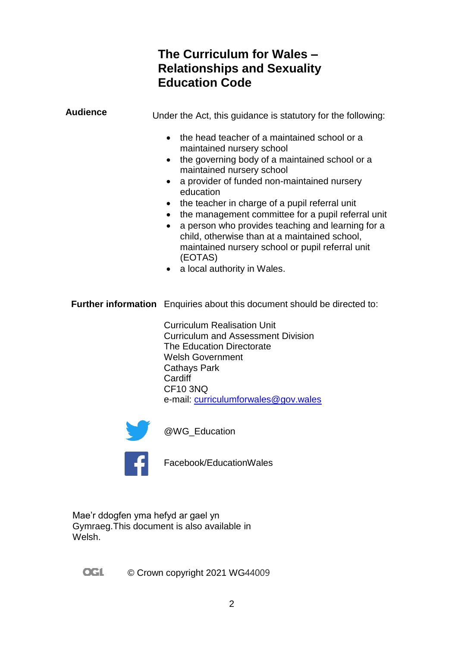### **The Curriculum for Wales – Relationships and Sexuality Education Code**

**Audience** Under the Act, this guidance is statutory for the following: • the head teacher of a maintained school or a maintained nursery school • the governing body of a maintained school or a maintained nursery school a provider of funded non-maintained nursery education • the teacher in charge of a pupil referral unit • the management committee for a pupil referral unit • a person who provides teaching and learning for a child, otherwise than at a maintained school, maintained nursery school or pupil referral unit (EOTAS) • a local authority in Wales.

**Further information** Enquiries about this document should be directed to:

Curriculum Realisation Unit Curriculum and Assessment Division The Education Directorate Welsh Government Cathays Park **Cardiff** CF10 3NQ e-mail: [curriculumforwales@gov.wales](mailto:curriculumforwales@gov.wales)



@WG\_Education



Facebook/EducationWales

Mae'r ddogfen yma hefyd ar gael yn Gymraeg.This document is also available in Welsh.

**OGL** © Crown copyright 2021 WG44009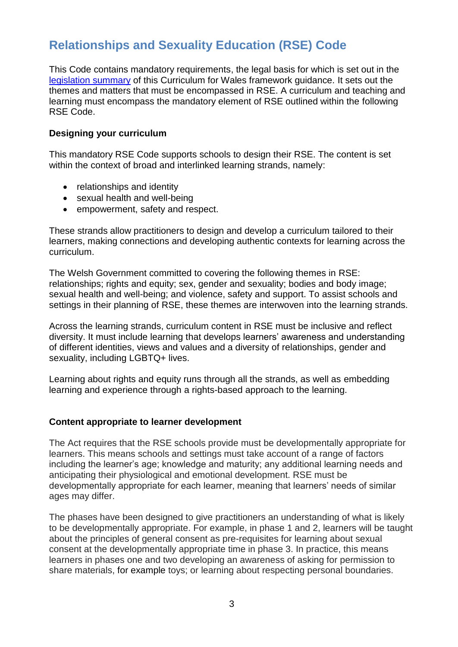## **Relationships and Sexuality Education (RSE) Code**

This Code contains mandatory requirements, the legal basis for which is set out in the [legislation summary](https://hwb.gov.wales/curriculum-for-wales/summary-of-legislation/#relationships-and-sexuality-education) of this Curriculum for Wales framework guidance. It sets out the themes and matters that must be encompassed in RSE. A curriculum and teaching and learning must encompass the mandatory element of RSE outlined within the following RSE Code.

#### **Designing your curriculum**

This mandatory RSE Code supports schools to design their RSE. The content is set within the context of broad and interlinked learning strands, namely:

- relationships and identity
- sexual health and well-being
- empowerment, safety and respect.

These strands allow practitioners to design and develop a curriculum tailored to their learners, making connections and developing authentic contexts for learning across the curriculum.

The Welsh Government committed to covering the following themes in RSE: relationships; rights and equity; sex, gender and sexuality; bodies and body image; sexual health and well-being; and violence, safety and support. To assist schools and settings in their planning of RSE, these themes are interwoven into the learning strands.

Across the learning strands, curriculum content in RSE must be inclusive and reflect diversity. It must include learning that develops learners' awareness and understanding of different identities, views and values and a diversity of relationships, gender and sexuality, including LGBTQ+ lives.

Learning about rights and equity runs through all the strands, as well as embedding learning and experience through a rights-based approach to the learning.

#### **Content appropriate to learner development**

The Act requires that the RSE schools provide must be developmentally appropriate for learners. This means schools and settings must take account of a range of factors including the learner's age; knowledge and maturity; any additional learning needs and anticipating their physiological and emotional development. RSE must be developmentally appropriate for each learner, meaning that learners' needs of similar ages may differ.

The phases have been designed to give practitioners an understanding of what is likely to be developmentally appropriate. For example, in phase 1 and 2, learners will be taught about the principles of general consent as pre-requisites for learning about sexual consent at the developmentally appropriate time in phase 3. In practice, this means learners in phases one and two developing an awareness of asking for permission to share materials, for example toys; or learning about respecting personal boundaries.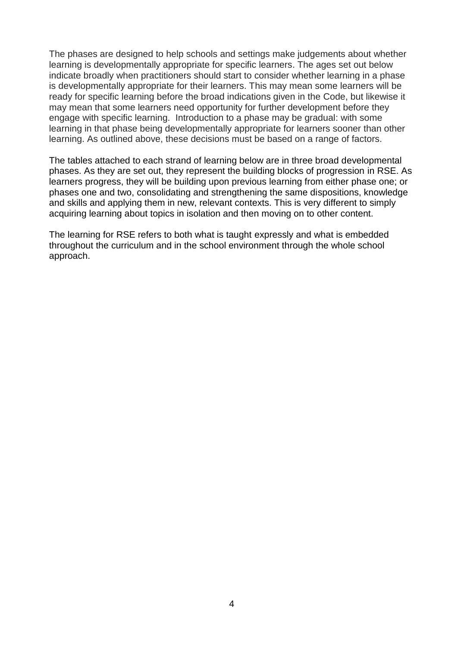The phases are designed to help schools and settings make judgements about whether learning is developmentally appropriate for specific learners. The ages set out below indicate broadly when practitioners should start to consider whether learning in a phase is developmentally appropriate for their learners. This may mean some learners will be ready for specific learning before the broad indications given in the Code, but likewise it may mean that some learners need opportunity for further development before they engage with specific learning. Introduction to a phase may be gradual: with some learning in that phase being developmentally appropriate for learners sooner than other learning. As outlined above, these decisions must be based on a range of factors.

The tables attached to each strand of learning below are in three broad developmental phases. As they are set out, they represent the building blocks of progression in RSE. As learners progress, they will be building upon previous learning from either phase one; or phases one and two, consolidating and strengthening the same dispositions, knowledge and skills and applying them in new, relevant contexts. This is very different to simply acquiring learning about topics in isolation and then moving on to other content.

The learning for RSE refers to both what is taught expressly and what is embedded throughout the curriculum and in the school environment through the whole school approach.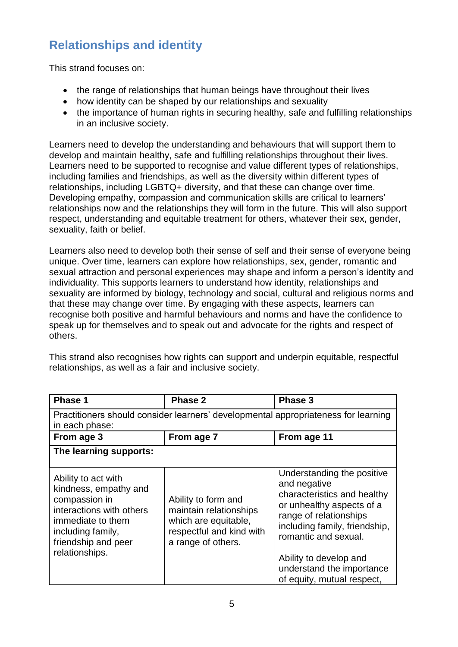## **Relationships and identity**

This strand focuses on:

- the range of relationships that human beings have throughout their lives
- how identity can be shaped by our relationships and sexuality
- the importance of human rights in securing healthy, safe and fulfilling relationships in an inclusive society.

Learners need to develop the understanding and behaviours that will support them to develop and maintain healthy, safe and fulfilling relationships throughout their lives. Learners need to be supported to recognise and value different types of relationships, including families and friendships, as well as the diversity within different types of relationships, including LGBTQ+ diversity, and that these can change over time. Developing empathy, compassion and communication skills are critical to learners' relationships now and the relationships they will form in the future. This will also support respect, understanding and equitable treatment for others, whatever their sex, gender, sexuality, faith or belief.

Learners also need to develop both their sense of self and their sense of everyone being unique. Over time, learners can explore how relationships, sex, gender, romantic and sexual attraction and personal experiences may shape and inform a person's identity and individuality. This supports learners to understand how identity, relationships and sexuality are informed by biology, technology and social, cultural and religious norms and that these may change over time. By engaging with these aspects, learners can recognise both positive and harmful behaviours and norms and have the confidence to speak up for themselves and to speak out and advocate for the rights and respect of others.

This strand also recognises how rights can support and underpin equitable, respectful relationships, as well as a fair and inclusive society.

| <b>Phase 1</b>                                                                                                                                                               | Phase 2                                                                                                                 | Phase 3                                                                                                                                                                                                                                                                        |  |
|------------------------------------------------------------------------------------------------------------------------------------------------------------------------------|-------------------------------------------------------------------------------------------------------------------------|--------------------------------------------------------------------------------------------------------------------------------------------------------------------------------------------------------------------------------------------------------------------------------|--|
| Practitioners should consider learners' developmental appropriateness for learning<br>in each phase:                                                                         |                                                                                                                         |                                                                                                                                                                                                                                                                                |  |
| From age 3                                                                                                                                                                   | From age 7                                                                                                              | From age 11                                                                                                                                                                                                                                                                    |  |
| The learning supports:                                                                                                                                                       |                                                                                                                         |                                                                                                                                                                                                                                                                                |  |
| Ability to act with<br>kindness, empathy and<br>compassion in<br>interactions with others<br>immediate to them<br>including family,<br>friendship and peer<br>relationships. | Ability to form and<br>maintain relationships<br>which are equitable,<br>respectful and kind with<br>a range of others. | Understanding the positive<br>and negative<br>characteristics and healthy<br>or unhealthy aspects of a<br>range of relationships<br>including family, friendship,<br>romantic and sexual.<br>Ability to develop and<br>understand the importance<br>of equity, mutual respect, |  |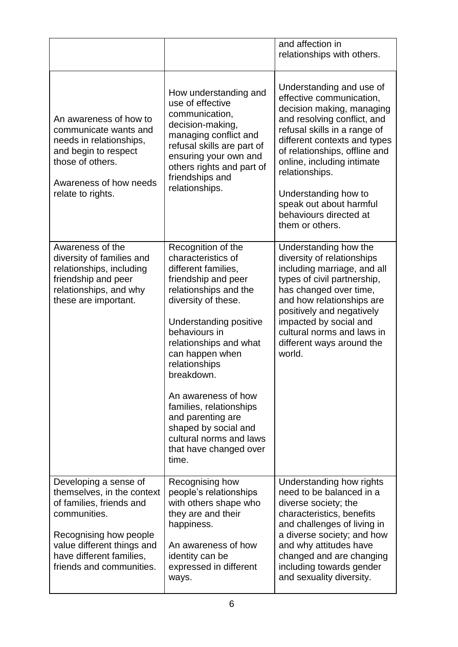|                                                                                                                                                                                                                 |                                                                                                                                                                                                                                                                                                                                                                                                                            | and affection in<br>relationships with others.                                                                                                                                                                                                                                                                                                                    |
|-----------------------------------------------------------------------------------------------------------------------------------------------------------------------------------------------------------------|----------------------------------------------------------------------------------------------------------------------------------------------------------------------------------------------------------------------------------------------------------------------------------------------------------------------------------------------------------------------------------------------------------------------------|-------------------------------------------------------------------------------------------------------------------------------------------------------------------------------------------------------------------------------------------------------------------------------------------------------------------------------------------------------------------|
| An awareness of how to<br>communicate wants and<br>needs in relationships,<br>and begin to respect<br>those of others.<br>Awareness of how needs<br>relate to rights.                                           | How understanding and<br>use of effective<br>communication,<br>decision-making,<br>managing conflict and<br>refusal skills are part of<br>ensuring your own and<br>others rights and part of<br>friendships and<br>relationships.                                                                                                                                                                                          | Understanding and use of<br>effective communication,<br>decision making, managing<br>and resolving conflict, and<br>refusal skills in a range of<br>different contexts and types<br>of relationships, offline and<br>online, including intimate<br>relationships.<br>Understanding how to<br>speak out about harmful<br>behaviours directed at<br>them or others. |
| Awareness of the<br>diversity of families and<br>relationships, including<br>friendship and peer<br>relationships, and why<br>these are important.                                                              | Recognition of the<br>characteristics of<br>different families,<br>friendship and peer<br>relationships and the<br>diversity of these.<br>Understanding positive<br>behaviours in<br>relationships and what<br>can happen when<br>relationships<br>breakdown.<br>An awareness of how<br>families, relationships<br>and parenting are<br>shaped by social and<br>cultural norms and laws<br>that have changed over<br>time. | Understanding how the<br>diversity of relationships<br>including marriage, and all<br>types of civil partnership,<br>has changed over time,<br>and how relationships are<br>positively and negatively<br>impacted by social and<br>cultural norms and laws in<br>different ways around the<br>world.                                                              |
| Developing a sense of<br>themselves, in the context<br>of families, friends and<br>communities.<br>Recognising how people<br>value different things and<br>have different families,<br>friends and communities. | Recognising how<br>people's relationships<br>with others shape who<br>they are and their<br>happiness.<br>An awareness of how<br>identity can be<br>expressed in different<br>ways.                                                                                                                                                                                                                                        | Understanding how rights<br>need to be balanced in a<br>diverse society; the<br>characteristics, benefits<br>and challenges of living in<br>a diverse society; and how<br>and why attitudes have<br>changed and are changing<br>including towards gender<br>and sexuality diversity.                                                                              |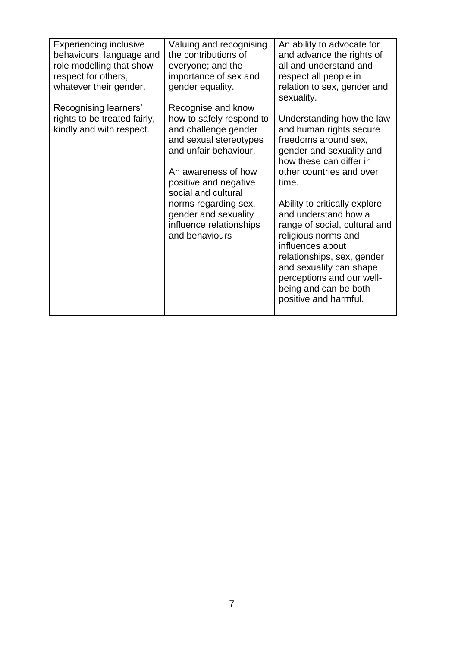| <b>Experiencing inclusive</b>                            | Valuing and recognising                                                                                                                                                    | An ability to advocate for                                                                                                                                                                                                                                                |
|----------------------------------------------------------|----------------------------------------------------------------------------------------------------------------------------------------------------------------------------|---------------------------------------------------------------------------------------------------------------------------------------------------------------------------------------------------------------------------------------------------------------------------|
| behaviours, language and                                 | the contributions of                                                                                                                                                       | and advance the rights of                                                                                                                                                                                                                                                 |
| role modelling that show                                 | everyone; and the                                                                                                                                                          | all and understand and                                                                                                                                                                                                                                                    |
| respect for others,                                      | importance of sex and                                                                                                                                                      | respect all people in                                                                                                                                                                                                                                                     |
| whatever their gender.                                   | gender equality.                                                                                                                                                           | relation to sex, gender and<br>sexuality.                                                                                                                                                                                                                                 |
| Recognising learners'                                    | Recognise and know                                                                                                                                                         |                                                                                                                                                                                                                                                                           |
| rights to be treated fairly,<br>kindly and with respect. | how to safely respond to<br>and challenge gender<br>and sexual stereotypes<br>and unfair behaviour.<br>An awareness of how<br>positive and negative<br>social and cultural | Understanding how the law<br>and human rights secure<br>freedoms around sex,<br>gender and sexuality and<br>how these can differ in<br>other countries and over<br>time.                                                                                                  |
|                                                          | norms regarding sex,<br>gender and sexuality<br>influence relationships<br>and behaviours                                                                                  | Ability to critically explore<br>and understand how a<br>range of social, cultural and<br>religious norms and<br>influences about<br>relationships, sex, gender<br>and sexuality can shape<br>perceptions and our well-<br>being and can be both<br>positive and harmful. |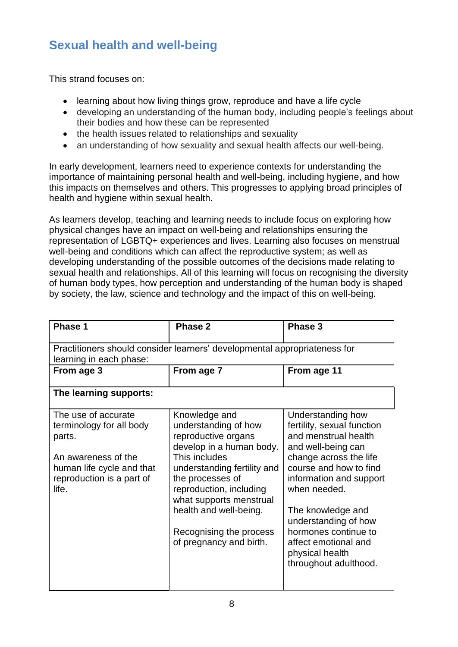## **Sexual health and well-being**

This strand focuses on:

- learning about how living things grow, reproduce and have a life cycle
- developing an understanding of the human body, including people's feelings about their bodies and how these can be represented
- the health issues related to relationships and sexuality
- an understanding of how sexuality and sexual health affects our well-being.

In early development, learners need to experience contexts for understanding the importance of maintaining personal health and well-being, including hygiene, and how this impacts on themselves and others. This progresses to applying broad principles of health and hygiene within sexual health.

As learners develop, teaching and learning needs to include focus on exploring how physical changes have an impact on well-being and relationships ensuring the representation of LGBTQ+ experiences and lives. Learning also focuses on menstrual well-being and conditions which can affect the reproductive system; as well as developing understanding of the possible outcomes of the decisions made relating to sexual health and relationships. All of this learning will focus on recognising the diversity of human body types, how perception and understanding of the human body is shaped by society, the law, science and technology and the impact of this on well-being.

| Phase 1                                                                                                                                             | Phase 2                                                                                                                                                                                                                                                                                            | Phase 3                                                                                                                                                                                                                                                                                                                               |  |
|-----------------------------------------------------------------------------------------------------------------------------------------------------|----------------------------------------------------------------------------------------------------------------------------------------------------------------------------------------------------------------------------------------------------------------------------------------------------|---------------------------------------------------------------------------------------------------------------------------------------------------------------------------------------------------------------------------------------------------------------------------------------------------------------------------------------|--|
| Practitioners should consider learners' developmental appropriateness for                                                                           |                                                                                                                                                                                                                                                                                                    |                                                                                                                                                                                                                                                                                                                                       |  |
| learning in each phase:                                                                                                                             |                                                                                                                                                                                                                                                                                                    |                                                                                                                                                                                                                                                                                                                                       |  |
| From age 3                                                                                                                                          | From age 7                                                                                                                                                                                                                                                                                         | From age 11                                                                                                                                                                                                                                                                                                                           |  |
| The learning supports:                                                                                                                              |                                                                                                                                                                                                                                                                                                    |                                                                                                                                                                                                                                                                                                                                       |  |
| The use of accurate<br>terminology for all body<br>parts.<br>An awareness of the<br>human life cycle and that<br>reproduction is a part of<br>life. | Knowledge and<br>understanding of how<br>reproductive organs<br>develop in a human body.<br>This includes<br>understanding fertility and<br>the processes of<br>reproduction, including<br>what supports menstrual<br>health and well-being.<br>Recognising the process<br>of pregnancy and birth. | Understanding how<br>fertility, sexual function<br>and menstrual health<br>and well-being can<br>change across the life<br>course and how to find<br>information and support<br>when needed.<br>The knowledge and<br>understanding of how<br>hormones continue to<br>affect emotional and<br>physical health<br>throughout adulthood. |  |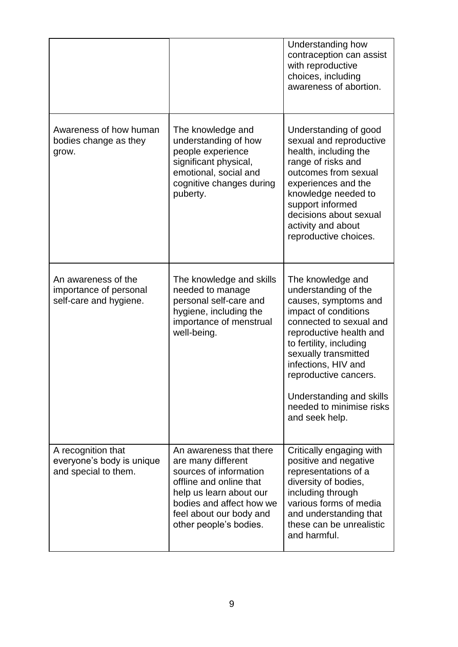|                                                                         |                                                                                                                                                                                                                | Understanding how<br>contraception can assist<br>with reproductive<br>choices, including<br>awareness of abortion.                                                                                                                                                                                                           |
|-------------------------------------------------------------------------|----------------------------------------------------------------------------------------------------------------------------------------------------------------------------------------------------------------|------------------------------------------------------------------------------------------------------------------------------------------------------------------------------------------------------------------------------------------------------------------------------------------------------------------------------|
| Awareness of how human<br>bodies change as they<br>grow.                | The knowledge and<br>understanding of how<br>people experience<br>significant physical,<br>emotional, social and<br>cognitive changes during<br>puberty.                                                       | Understanding of good<br>sexual and reproductive<br>health, including the<br>range of risks and<br>outcomes from sexual<br>experiences and the<br>knowledge needed to<br>support informed<br>decisions about sexual<br>activity and about<br>reproductive choices.                                                           |
| An awareness of the<br>importance of personal<br>self-care and hygiene. | The knowledge and skills<br>needed to manage<br>personal self-care and<br>hygiene, including the<br>importance of menstrual<br>well-being.                                                                     | The knowledge and<br>understanding of the<br>causes, symptoms and<br>impact of conditions<br>connected to sexual and<br>reproductive health and<br>to fertility, including<br>sexually transmitted<br>infections, HIV and<br>reproductive cancers.<br>Understanding and skills<br>needed to minimise risks<br>and seek help. |
| A recognition that<br>everyone's body is unique<br>and special to them. | An awareness that there<br>are many different<br>sources of information<br>offline and online that<br>help us learn about our<br>bodies and affect how we<br>feel about our body and<br>other people's bodies. | Critically engaging with<br>positive and negative<br>representations of a<br>diversity of bodies,<br>including through<br>various forms of media<br>and understanding that<br>these can be unrealistic<br>and harmful.                                                                                                       |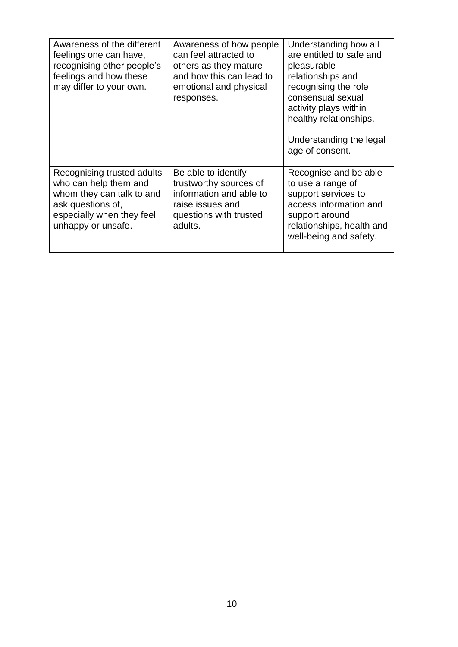| Awareness of the different<br>feelings one can have,<br>recognising other people's<br>feelings and how these<br>may differ to your own.                  | Awareness of how people<br>can feel attracted to<br>others as they mature<br>and how this can lead to<br>emotional and physical<br>responses. | Understanding how all<br>are entitled to safe and<br>pleasurable<br>relationships and<br>recognising the role<br>consensual sexual<br>activity plays within<br>healthy relationships.<br>Understanding the legal<br>age of consent. |
|----------------------------------------------------------------------------------------------------------------------------------------------------------|-----------------------------------------------------------------------------------------------------------------------------------------------|-------------------------------------------------------------------------------------------------------------------------------------------------------------------------------------------------------------------------------------|
| Recognising trusted adults<br>who can help them and<br>whom they can talk to and<br>ask questions of,<br>especially when they feel<br>unhappy or unsafe. | Be able to identify<br>trustworthy sources of<br>information and able to<br>raise issues and<br>questions with trusted<br>adults.             | Recognise and be able<br>to use a range of<br>support services to<br>access information and<br>support around<br>relationships, health and<br>well-being and safety.                                                                |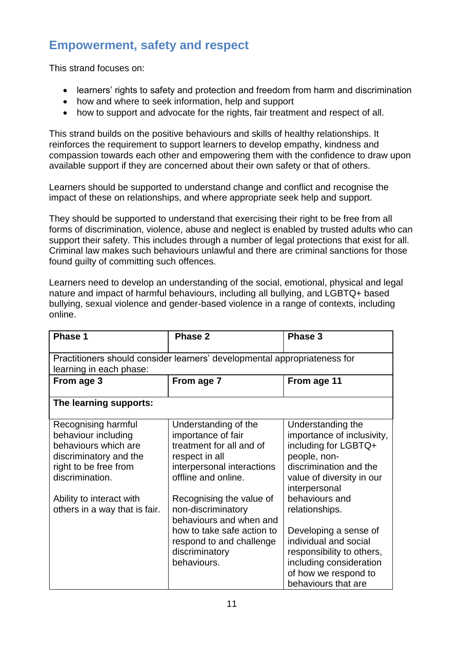## **Empowerment, safety and respect**

This strand focuses on:

- learners' rights to safety and protection and freedom from harm and discrimination
- how and where to seek information, help and support
- how to support and advocate for the rights, fair treatment and respect of all.

This strand builds on the positive behaviours and skills of healthy relationships. It reinforces the requirement to support learners to develop empathy, kindness and compassion towards each other and empowering them with the confidence to draw upon available support if they are concerned about their own safety or that of others.

Learners should be supported to understand change and conflict and recognise the impact of these on relationships, and where appropriate seek help and support.

They should be supported to understand that exercising their right to be free from all forms of discrimination, violence, abuse and neglect is enabled by trusted adults who can support their safety. This includes through a number of legal protections that exist for all. Criminal law makes such behaviours unlawful and there are criminal sanctions for those found guilty of committing such offences.

Learners need to develop an understanding of the social, emotional, physical and legal nature and impact of harmful behaviours, including all bullying, and LGBTQ+ based bullying, sexual violence and gender-based violence in a range of contexts, including online.

| Phase 1                                                                                                                                                                                               | Phase 2                                                                                                                                                                                                                                                  | Phase 3                                                                                                                                                                                             |  |
|-------------------------------------------------------------------------------------------------------------------------------------------------------------------------------------------------------|----------------------------------------------------------------------------------------------------------------------------------------------------------------------------------------------------------------------------------------------------------|-----------------------------------------------------------------------------------------------------------------------------------------------------------------------------------------------------|--|
| Practitioners should consider learners' developmental appropriateness for<br>learning in each phase:                                                                                                  |                                                                                                                                                                                                                                                          |                                                                                                                                                                                                     |  |
| From age 3                                                                                                                                                                                            | From age 7                                                                                                                                                                                                                                               | From age 11                                                                                                                                                                                         |  |
| The learning supports:                                                                                                                                                                                |                                                                                                                                                                                                                                                          |                                                                                                                                                                                                     |  |
| Recognising harmful<br>behaviour including<br>behaviours which are<br>discriminatory and the<br>right to be free from<br>discrimination.<br>Ability to interact with<br>others in a way that is fair. | Understanding of the<br>importance of fair<br>treatment for all and of<br>respect in all<br>interpersonal interactions<br>offline and online.<br>Recognising the value of<br>non-discriminatory<br>behaviours and when and<br>how to take safe action to | Understanding the<br>importance of inclusivity,<br>including for LGBTQ+<br>people, non-<br>discrimination and the<br>value of diversity in our<br>interpersonal<br>behaviours and<br>relationships. |  |
|                                                                                                                                                                                                       | respond to and challenge<br>discriminatory<br>behaviours.                                                                                                                                                                                                | Developing a sense of<br>individual and social<br>responsibility to others,<br>including consideration<br>of how we respond to<br>behaviours that are                                               |  |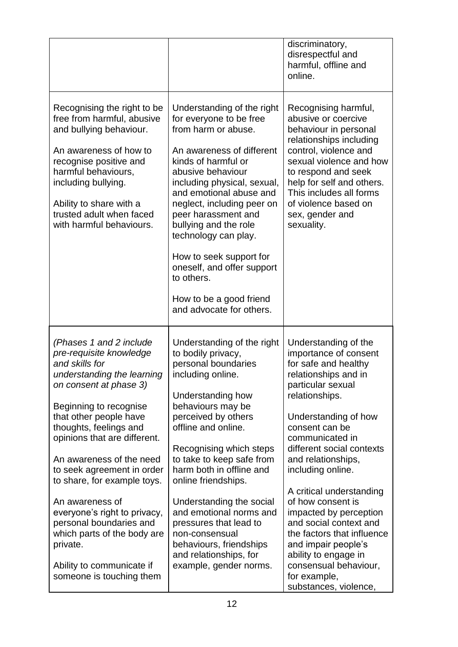|                                                                                                                                                                                                                                                                                                                                                                                                                                                                                                                       |                                                                                                                                                                                                                                                                                                                                                                                                                                                                                   | discriminatory,<br>disrespectful and<br>harmful, offline and<br>online.                                                                                                                                                                                                                                                                                                                                                                                                                                                       |
|-----------------------------------------------------------------------------------------------------------------------------------------------------------------------------------------------------------------------------------------------------------------------------------------------------------------------------------------------------------------------------------------------------------------------------------------------------------------------------------------------------------------------|-----------------------------------------------------------------------------------------------------------------------------------------------------------------------------------------------------------------------------------------------------------------------------------------------------------------------------------------------------------------------------------------------------------------------------------------------------------------------------------|-------------------------------------------------------------------------------------------------------------------------------------------------------------------------------------------------------------------------------------------------------------------------------------------------------------------------------------------------------------------------------------------------------------------------------------------------------------------------------------------------------------------------------|
| Recognising the right to be<br>free from harmful, abusive<br>and bullying behaviour.<br>An awareness of how to<br>recognise positive and<br>harmful behaviours,<br>including bullying.<br>Ability to share with a<br>trusted adult when faced<br>with harmful behaviours.                                                                                                                                                                                                                                             | Understanding of the right<br>for everyone to be free<br>from harm or abuse.<br>An awareness of different<br>kinds of harmful or<br>abusive behaviour<br>including physical, sexual,<br>and emotional abuse and<br>neglect, including peer on<br>peer harassment and<br>bullying and the role<br>technology can play.<br>How to seek support for<br>oneself, and offer support<br>to others.<br>How to be a good friend<br>and advocate for others.                               | Recognising harmful,<br>abusive or coercive<br>behaviour in personal<br>relationships including<br>control, violence and<br>sexual violence and how<br>to respond and seek<br>help for self and others.<br>This includes all forms<br>of violence based on<br>sex, gender and<br>sexuality.                                                                                                                                                                                                                                   |
| (Phases 1 and 2 include<br>pre-requisite knowledge<br>and skills for<br>understanding the learning<br>on consent at phase 3)<br>Beginning to recognise<br>that other people have<br>thoughts, feelings and<br>opinions that are different.<br>An awareness of the need<br>to seek agreement in order<br>to share, for example toys.<br>An awareness of<br>everyone's right to privacy,<br>personal boundaries and<br>which parts of the body are<br>private.<br>Ability to communicate if<br>someone is touching them | Understanding of the right<br>to bodily privacy,<br>personal boundaries<br>including online.<br>Understanding how<br>behaviours may be<br>perceived by others<br>offline and online.<br>Recognising which steps<br>to take to keep safe from<br>harm both in offline and<br>online friendships.<br>Understanding the social<br>and emotional norms and<br>pressures that lead to<br>non-consensual<br>behaviours, friendships<br>and relationships, for<br>example, gender norms. | Understanding of the<br>importance of consent<br>for safe and healthy<br>relationships and in<br>particular sexual<br>relationships.<br>Understanding of how<br>consent can be<br>communicated in<br>different social contexts<br>and relationships,<br>including online.<br>A critical understanding<br>of how consent is<br>impacted by perception<br>and social context and<br>the factors that influence<br>and impair people's<br>ability to engage in<br>consensual behaviour,<br>for example,<br>substances, violence, |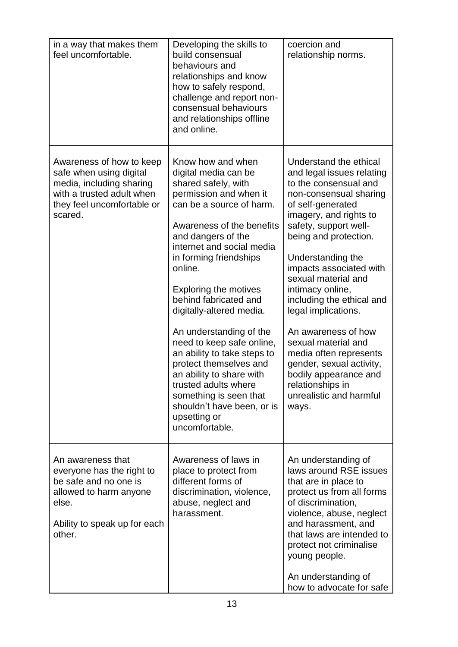| in a way that makes them<br>feel uncomfortable.                                                                                                       | Developing the skills to<br>build consensual<br>behaviours and<br>relationships and know<br>how to safely respond,<br>challenge and report non-<br>consensual behaviours<br>and relationships offline<br>and online.                                                                                                                                                                                                                                                                                                                                                                     | coercion and<br>relationship norms.                                                                                                                                                                                                                                                                                                                                                                                                                                                                                                         |
|-------------------------------------------------------------------------------------------------------------------------------------------------------|------------------------------------------------------------------------------------------------------------------------------------------------------------------------------------------------------------------------------------------------------------------------------------------------------------------------------------------------------------------------------------------------------------------------------------------------------------------------------------------------------------------------------------------------------------------------------------------|---------------------------------------------------------------------------------------------------------------------------------------------------------------------------------------------------------------------------------------------------------------------------------------------------------------------------------------------------------------------------------------------------------------------------------------------------------------------------------------------------------------------------------------------|
| Awareness of how to keep<br>safe when using digital<br>media, including sharing<br>with a trusted adult when<br>they feel uncomfortable or<br>scared. | Know how and when<br>digital media can be<br>shared safely, with<br>permission and when it<br>can be a source of harm.<br>Awareness of the benefits<br>and dangers of the<br>internet and social media<br>in forming friendships<br>online.<br>Exploring the motives<br>behind fabricated and<br>digitally-altered media.<br>An understanding of the<br>need to keep safe online,<br>an ability to take steps to<br>protect themselves and<br>an ability to share with<br>trusted adults where<br>something is seen that<br>shouldn't have been, or is<br>upsetting or<br>uncomfortable. | Understand the ethical<br>and legal issues relating<br>to the consensual and<br>non-consensual sharing<br>of self-generated<br>imagery, and rights to<br>safety, support well-<br>being and protection.<br>Understanding the<br>impacts associated with<br>sexual material and<br>intimacy online,<br>including the ethical and<br>legal implications.<br>An awareness of how<br>sexual material and<br>media often represents<br>gender, sexual activity,<br>bodily appearance and<br>relationships in<br>unrealistic and harmful<br>ways. |
| An awareness that<br>everyone has the right to<br>be safe and no one is<br>allowed to harm anyone<br>else.<br>Ability to speak up for each<br>other.  | Awareness of laws in<br>place to protect from<br>different forms of<br>discrimination, violence,<br>abuse, neglect and<br>harassment.                                                                                                                                                                                                                                                                                                                                                                                                                                                    | An understanding of<br>laws around RSE issues<br>that are in place to<br>protect us from all forms<br>of discrimination,<br>violence, abuse, neglect<br>and harassment, and<br>that laws are intended to<br>protect not criminalise<br>young people.<br>An understanding of<br>how to advocate for safe                                                                                                                                                                                                                                     |